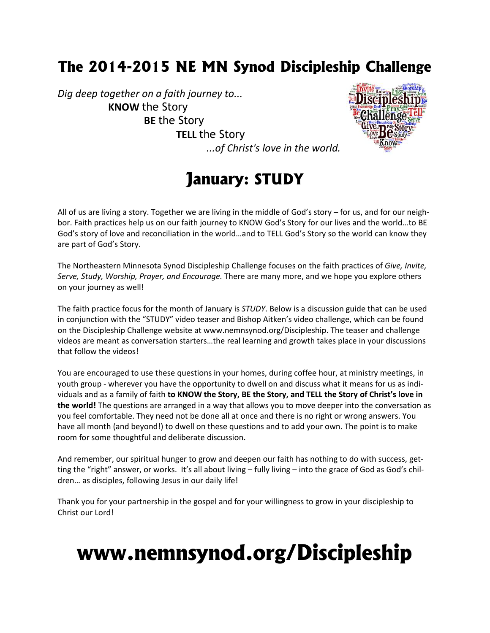### **The 2014-2015 NE MN Synod Discipleship Challenge**

*Dig deep together on a faith journey to...* **KNOW** the Story **BE** the Story **TELL** the Story



*...of Christ's love in the world.*

## **January: STUDY**

All of us are living a story. Together we are living in the middle of God's story – for us, and for our neighbor. Faith practices help us on our faith journey to KNOW God's Story for our lives and the world…to BE God's story of love and reconciliation in the world...and to TELL God's Story so the world can know they are part of God's Story.

The Northeastern Minnesota Synod Discipleship Challenge focuses on the faith practices of *Give, Invite, Serve, Study, Worship, Prayer, and Encourage.* There are many more, and we hope you explore others on your journey as well!

The faith practice focus for the month of January is *STUDY*. Below is a discussion guide that can be used in conjunction with the "STUDY" video teaser and Bishop Aitken's video challenge, which can be found on the Discipleship Challenge website at www.nemnsynod.org/Discipleship. The teaser and challenge videos are meant as conversation starters…the real learning and growth takes place in your discussions that follow the videos!

You are encouraged to use these questions in your homes, during coffee hour, at ministry meetings, in youth group - wherever you have the opportunity to dwell on and discuss what it means for us as individuals and as a family offaith **to KNOW the Story, BE the Story, and TELL the Story of Christ's love in the world!** The questions are arranged in a way that allows you to move deeper into the conversation as you feel comfortable. They need not be done all at once and there is no right or wrong answers. You have all month (and beyond!) to dwell on these questions and to add your own. The point is to make room for some thoughtful and deliberate discussion.

And remember, our spiritual hunger to grow and deepen our faith has nothing to do with success, getting the "right" answer, or works. It's allabout living – fully living – into the grace of God as God's children… as disciples, following Jesus in our daily life!

Thank you for your partnership in the gospel and for your willingness to grow in your discipleship to Christ our Lord!

# **www.nemnsynod.org/Discipleship**